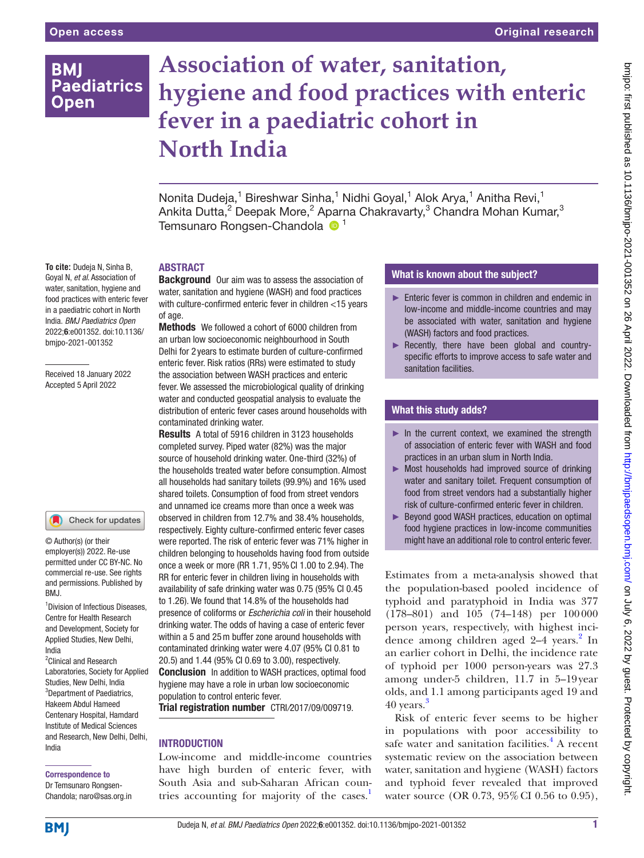# **BMI Paediatrics Open**

# **Association of water, sanitation, hygiene and food practices with enteric fever in a paediatric cohort in North India**

Nonita Dudeja,<sup>1</sup> Bireshwar Sinha,<sup>1</sup> Nidhi Goyal,<sup>1</sup> Alok Arya,<sup>1</sup> Anitha Revi,<sup>1</sup> Ankita Dutta, $^2$  Deepak More, $^2$  Aparna Chakravarty, $^3$  Chandra Mohan Kumar, $^3$ Temsunaro Rongsen-Chandola <sup>1</sup>

#### **To cite:** Dudeja N, Sinha B, Goyal N, *et al*. Association of water, sanitation, hygiene and food practices with enteric fever in a paediatric cohort in North India. *BMJ Paediatrics Open* 2022;6:e001352. doi:10.1136/ bmjpo-2021-001352

Received 18 January 2022 Accepted 5 April 2022

# Check for updates

© Author(s) (or their employer(s)) 2022. Re-use permitted under CC BY-NC. No commercial re-use. See rights and permissions. Published by BMJ.

1 Division of Infectious Diseases, Centre for Health Research and Development, Society for Applied Studies, New Delhi, India

<sup>2</sup> Clinical and Research Laboratories, Society for Applied Studies, New Delhi, India <sup>3</sup>Department of Paediatrics, Hakeem Abdul Hameed Centenary Hospital, Hamdard Institute of Medical Sciences and Research, New Delhi, Delhi, India

#### Correspondence to

Dr Temsunaro Rongsen-Chandola; naro@sas.org.in

# ABSTRACT

**Background** Our aim was to assess the association of water, sanitation and hygiene (WASH) and food practices with culture-confirmed enteric fever in children <15 years of age.

Methods We followed a cohort of 6000 children from an urban low socioeconomic neighbourhood in South Delhi for 2 years to estimate burden of culture-confirmed enteric fever. Risk ratios (RRs) were estimated to study the association between WASH practices and enteric fever. We assessed the microbiological quality of drinking water and conducted geospatial analysis to evaluate the distribution of enteric fever cases around households with contaminated drinking water.

Results A total of 5916 children in 3123 households completed survey. Piped water (82%) was the major source of household drinking water. One-third (32%) of the households treated water before consumption. Almost all households had sanitary toilets (99.9%) and 16% used shared toilets. Consumption of food from street vendors and unnamed ice creams more than once a week was observed in children from 12.7% and 38.4% households, respectively. Eighty culture-confirmed enteric fever cases were reported. The risk of enteric fever was 71% higher in children belonging to households having food from outside once a week or more (RR 1.71, 95%CI 1.00 to 2.94). The RR for enteric fever in children living in households with availability of safe drinking water was 0.75 (95% CI 0.45 to 1.26). We found that 14.8% of the households had presence of coliforms or *Escherichia coli* in their household drinking water. The odds of having a case of enteric fever within a 5 and 25m buffer zone around households with contaminated drinking water were 4.07 (95% CI 0.81 to 20.5) and 1.44 (95% CI 0.69 to 3.00), respectively. **Conclusion** In addition to WASH practices, optimal food hygiene may have a role in urban low socioeconomic population to control enteric fever.

Trial registration number CTRI*/*2017/09/009719.

# **INTRODUCTION**

Low-income and middle-income countries have high burden of enteric fever, with South Asia and sub-Saharan African countries accounting for majority of the cases.<sup>1</sup>

# What is known about the subject?

- ► Enteric fever is common in children and endemic in low-income and middle-income countries and may be associated with water, sanitation and hygiene (WASH) factors and food practices.
- ► Recently, there have been global and countryspecific efforts to improve access to safe water and sanitation facilities.

# What this study adds?

- $\blacktriangleright$  In the current context, we examined the strength of association of enteric fever with WASH and food practices in an urban slum in North India.
- ► Most households had improved source of drinking water and sanitary toilet. Frequent consumption of food from street vendors had a substantially higher risk of culture-confirmed enteric fever in children.
- ► Beyond good WASH practices, education on optimal food hygiene practices in low-income communities might have an additional role to control enteric fever.

Estimates from a meta-analysis showed that the population-based pooled incidence of typhoid and paratyphoid in India was 377 (178–801) and 105 (74–148) per 100000 person years, respectively, with highest incidence among children aged 2-4 years.<sup>2</sup> In an earlier cohort in Delhi, the incidence rate of typhoid per 1000 person-years was 27.3 among under-5 children, 11.7 in 5–19year olds, and 1.1 among participants aged 19 and 40 years.<sup>3</sup>

Risk of enteric fever seems to be higher in populations with poor accessibility to safe water and sanitation facilities.<sup>4</sup> A recent systematic review on the association between water, sanitation and hygiene (WASH) factors and typhoid fever revealed that improved water source (OR 0.73, 95% CI 0.56 to 0.95),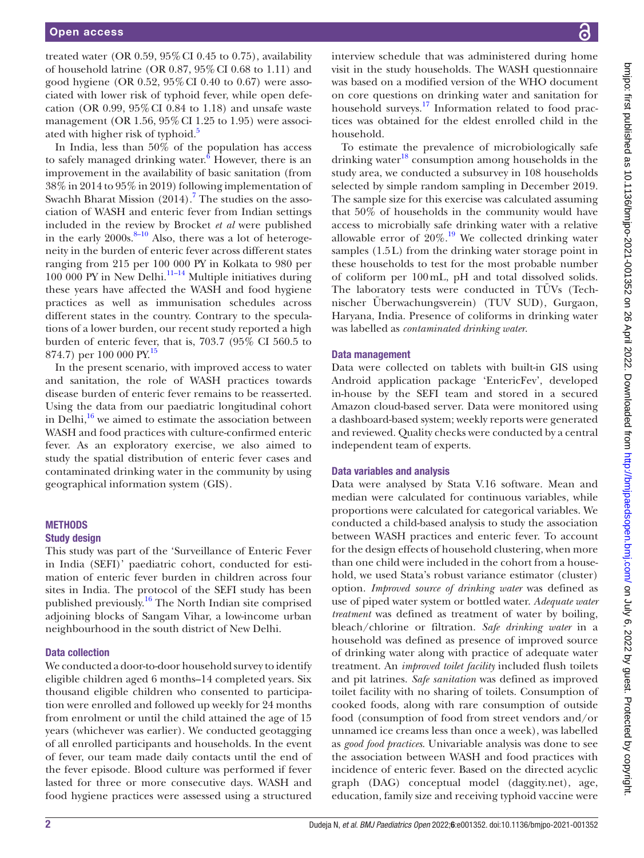treated water (OR  $0.59, 95\%$  CI  $0.45$  to  $0.75$ ), availability of household latrine (OR 0.87, 95%CI 0.68 to 1.11) and good hygiene (OR 0.52, 95%CI 0.40 to 0.67) were associated with lower risk of typhoid fever, while open defecation (OR 0.99, 95%CI 0.84 to 1.18) and unsafe waste management (OR 1.56, 95%CI 1.25 to 1.95) were associated with higher risk of typhoid.<sup>5</sup>

In India, less than 50% of the population has access to safely managed drinking water. $6$  However, there is an improvement in the availability of basic sanitation (from 38% in 2014 to 95% in 2019) following implementation of Swachh Bharat Mission  $(2014)$ .<sup>7</sup> The studies on the association of WASH and enteric fever from Indian settings included in the review by Brocket *et al* were published in the early  $2000s$ .<sup>[8–10](#page-6-0)</sup> Also, there was a lot of heterogeneity in the burden of enteric fever across different states ranging from 215 per 100 000 PY in Kolkata to 980 per  $100\,000$  PY in New Delhi.<sup>[11–14](#page-6-1)</sup> Multiple initiatives during these years have affected the WASH and food hygiene practices as well as immunisation schedules across different states in the country. Contrary to the speculations of a lower burden, our recent study reported a high burden of enteric fever, that is, 703.7 (95% CI 560.5 to 874.7) per 100 000 PY.<sup>[15](#page-6-2)</sup>

In the present scenario, with improved access to water and sanitation, the role of WASH practices towards disease burden of enteric fever remains to be reasserted. Using the data from our paediatric longitudinal cohort in Delhi, $16$  we aimed to estimate the association between WASH and food practices with culture-confirmed enteric fever. As an exploratory exercise, we also aimed to study the spatial distribution of enteric fever cases and contaminated drinking water in the community by using geographical information system (GIS).

#### **METHODS**

#### Study design

This study was part of the 'Surveillance of Enteric Fever in India (SEFI)' paediatric cohort, conducted for estimation of enteric fever burden in children across four sites in India. The protocol of the SEFI study has been published previously.[16](#page-6-3) The North Indian site comprised adjoining blocks of Sangam Vihar, a low-income urban neighbourhood in the south district of New Delhi.

#### Data collection

We conducted a door-to-door household survey to identify eligible children aged 6 months–14 completed years. Six thousand eligible children who consented to participation were enrolled and followed up weekly for 24 months from enrolment or until the child attained the age of 15 years (whichever was earlier). We conducted geotagging of all enrolled participants and households. In the event of fever, our team made daily contacts until the end of the fever episode. Blood culture was performed if fever lasted for three or more consecutive days. WASH and food hygiene practices were assessed using a structured

interview schedule that was administered during home visit in the study households. The WASH questionnaire was based on a modified version of the WHO document on core questions on drinking water and sanitation for household surveys.<sup>[17](#page-6-4)</sup> Information related to food practices was obtained for the eldest enrolled child in the household.

To estimate the prevalence of microbiologically safe drinking water $18$  consumption among households in the study area, we conducted a subsurvey in 108 households selected by simple random sampling in December 2019. The sample size for this exercise was calculated assuming that 50% of households in the community would have access to microbially safe drinking water with a relative allowable error of  $20\%$ .<sup>19</sup> We collected drinking water samples (1.5L) from the drinking water storage point in these households to test for the most probable number of coliform per 100mL, pH and total dissolved solids. The laboratory tests were conducted in TÜVs (Technischer Überwachungsverein) (TUV SUD), Gurgaon, Haryana, India. Presence of coliforms in drinking water was labelled as *contaminated drinking water*.

#### Data management

Data were collected on tablets with built-in GIS using Android application package 'EntericFev', developed in-house by the SEFI team and stored in a secured Amazon cloud-based server. Data were monitored using a dashboard-based system; weekly reports were generated and reviewed. Quality checks were conducted by a central independent team of experts.

#### Data variables and analysis

Data were analysed by Stata V.16 software. Mean and median were calculated for continuous variables, while proportions were calculated for categorical variables. We conducted a child-based analysis to study the association between WASH practices and enteric fever. To account for the design effects of household clustering, when more than one child were included in the cohort from a household, we used Stata's robust variance estimator (cluster) option. *Improved source of drinking water* was defined as use of piped water system or bottled water. *Adequate water treatment* was defined as treatment of water by boiling, bleach/chlorine or filtration. *Safe drinking water* in a household was defined as presence of improved source of drinking water along with practice of adequate water treatment. An *improved toilet facility* included flush toilets and pit latrines. *Safe sanitation* was defined as improved toilet facility with no sharing of toilets. Consumption of cooked foods, along with rare consumption of outside food (consumption of food from street vendors and/or unnamed ice creams less than once a week), was labelled as *good food practices*. Univariable analysis was done to see the association between WASH and food practices with incidence of enteric fever. Based on the directed acyclic graph (DAG) conceptual model (daggity.net), age, education, family size and receiving typhoid vaccine were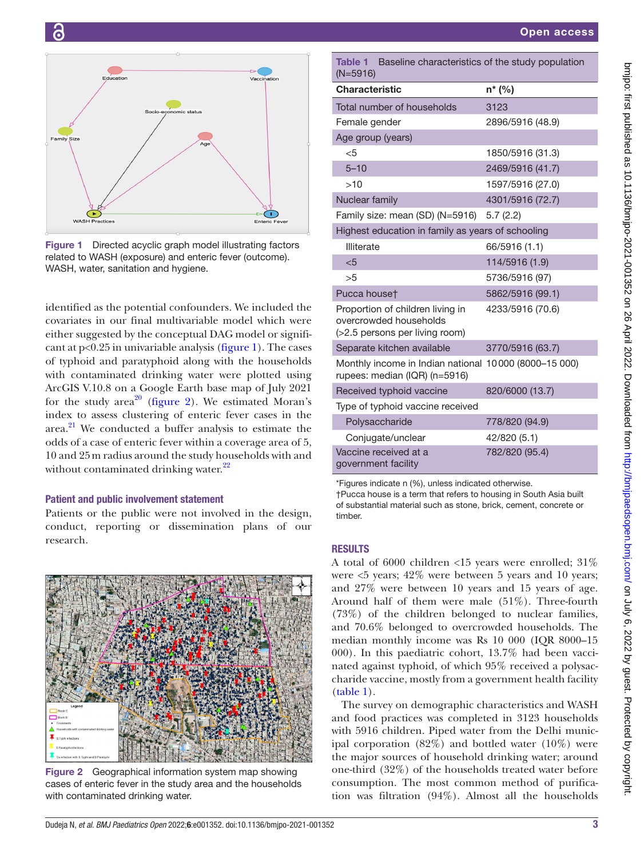

G

<span id="page-2-0"></span>Figure 1 Directed acyclic graph model illustrating factors related to WASH (exposure) and enteric fever (outcome). WASH, water, sanitation and hygiene.

identified as the potential confounders. We included the covariates in our final multivariable model which were either suggested by the conceptual DAG model or significant at  $p<0.25$  in univariable analysis ([figure](#page-2-0) 1). The cases of typhoid and paratyphoid along with the households with contaminated drinking water were plotted using ArcGIS V.10.8 on a Google Earth base map of July 2021 for the study  $area^{20}$  [\(figure](#page-2-1) 2). We estimated Moran's index to assess clustering of enteric fever cases in the area. $^{21}$  We conducted a buffer analysis to estimate the odds of a case of enteric fever within a coverage area of 5, 10 and 25m radius around the study households with and without contaminated drinking water.<sup>[22](#page-6-9)</sup>

# Patient and public involvement statement

Patients or the public were not involved in the design, conduct, reporting or dissemination plans of our research.

<span id="page-2-1"></span>

Figure 2 Geographical information system map showing cases of enteric fever in the study area and the households with contaminated drinking water.

<span id="page-2-2"></span>

| <b>Table 1</b><br>Baseline characteristics of the study population<br>$(N=5916)$             |                  |  |  |  |  |  |
|----------------------------------------------------------------------------------------------|------------------|--|--|--|--|--|
| <b>Characteristic</b>                                                                        | n* (%)           |  |  |  |  |  |
| Total number of households                                                                   | 3123             |  |  |  |  |  |
| Female gender                                                                                | 2896/5916 (48.9) |  |  |  |  |  |
| Age group (years)                                                                            |                  |  |  |  |  |  |
| $<$ 5                                                                                        | 1850/5916 (31.3) |  |  |  |  |  |
| $5 - 10$                                                                                     | 2469/5916 (41.7) |  |  |  |  |  |
| >10                                                                                          | 1597/5916 (27.0) |  |  |  |  |  |
| Nuclear family                                                                               | 4301/5916 (72.7) |  |  |  |  |  |
| Family size: mean (SD) (N=5916)                                                              | 5.7(2.2)         |  |  |  |  |  |
| Highest education in family as years of schooling                                            |                  |  |  |  |  |  |
| <b>Illiterate</b>                                                                            | 66/5916 (1.1)    |  |  |  |  |  |
| $5$                                                                                          | 114/5916 (1.9)   |  |  |  |  |  |
| >5                                                                                           | 5736/5916 (97)   |  |  |  |  |  |
| Pucca houset                                                                                 | 5862/5916 (99.1) |  |  |  |  |  |
| Proportion of children living in<br>overcrowded households<br>(>2.5 persons per living room) | 4233/5916 (70.6) |  |  |  |  |  |
| Separate kitchen available                                                                   | 3770/5916 (63.7) |  |  |  |  |  |
| Monthly income in Indian national 10000 (8000-15 000)<br>rupees: median (IQR) (n=5916)       |                  |  |  |  |  |  |
| Received typhoid vaccine                                                                     | 820/6000 (13.7)  |  |  |  |  |  |
| Type of typhoid vaccine received                                                             |                  |  |  |  |  |  |
| Polysaccharide                                                                               | 778/820 (94.9)   |  |  |  |  |  |
| Conjugate/unclear                                                                            | 42/820 (5.1)     |  |  |  |  |  |
| Vaccine received at a<br>government facility                                                 | 782/820 (95.4)   |  |  |  |  |  |

\*Figures indicate n (%), unless indicated otherwise.

†Pucca house is a term that refers to housing in [South Asia](https://en.wikipedia.org/wiki/South_Asia) built of substantial material such as [stone,](https://en.wikipedia.org/wiki/Stone) [brick,](https://en.wikipedia.org/wiki/Brick) [cement,](https://en.wikipedia.org/wiki/Cement) [concrete](https://en.wikipedia.org/wiki/Concrete) or timber.

# RESULTS

A total of 6000 children <15 years were enrolled; 31% were  $\leq$ 5 years; 42% were between 5 years and 10 years; and 27% were between 10 years and 15 years of age. Around half of them were male (51%). Three-fourth (73%) of the children belonged to nuclear families, and 70.6% belonged to overcrowded households. The median monthly income was Rs 10 000 (IQR 8000–15 000). In this paediatric cohort, 13.7% had been vaccinated against typhoid, of which 95% received a polysaccharide vaccine, mostly from a government health facility [\(table](#page-2-2) 1).

The survey on demographic characteristics and WASH and food practices was completed in 3123 households with 5916 children. Piped water from the Delhi municipal corporation  $(82\%)$  and bottled water  $(10\%)$  were the major sources of household drinking water; around one-third (32%) of the households treated water before consumption. The most common method of purification was filtration (94%). Almost all the households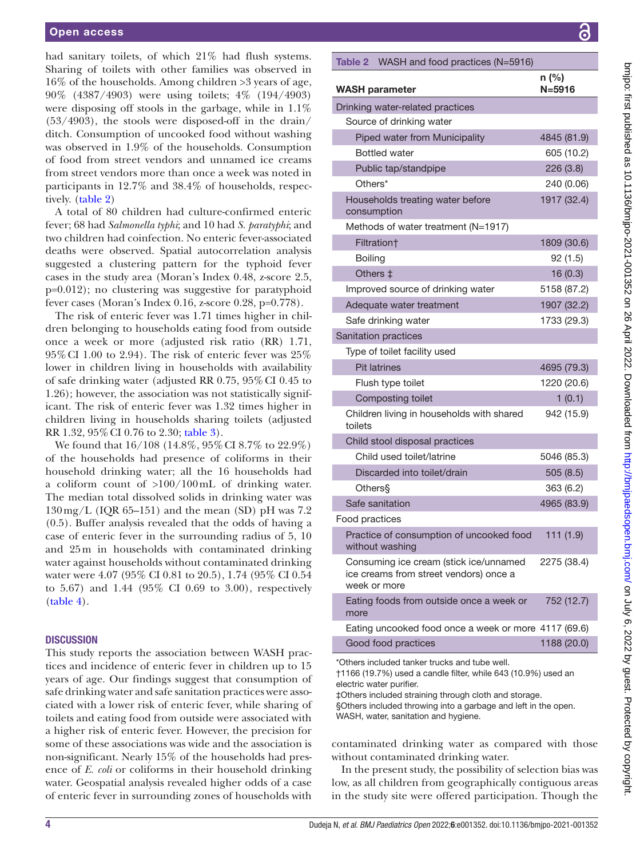had sanitary toilets, of which 21% had flush systems. Sharing of toilets with other families was observed in 16% of the households. Among children >3 years of age, 90% (4387/4903) were using toilets; 4% (194/4903) were disposing off stools in the garbage, while in 1.1% (53/4903), the stools were disposed-off in the drain/ ditch. Consumption of uncooked food without washing was observed in 1.9% of the households. Consumption of food from street vendors and unnamed ice creams from street vendors more than once a week was noted in participants in 12.7% and 38.4% of households, respectively. [\(table](#page-3-0) 2)

A total of 80 children had culture-confirmed enteric fever; 68 had *Salmonella typhi*; and 10 had *S. paratyphi*; and two children had coinfection. No enteric fever-associated deaths were observed. Spatial autocorrelation analysis suggested a clustering pattern for the typhoid fever cases in the study area (Moran's Index 0.48, z-score 2.5, p=0.012); no clustering was suggestive for paratyphoid fever cases (Moran's Index 0.16, z-score 0.28, p=0.778).

The risk of enteric fever was 1.71 times higher in children belonging to households eating food from outside once a week or more (adjusted risk ratio (RR) 1.71, 95%CI 1.00 to 2.94). The risk of enteric fever was 25% lower in children living in households with availability of safe drinking water (adjusted RR 0.75, 95%CI 0.45 to 1.26); however, the association was not statistically significant. The risk of enteric fever was 1.32 times higher in children living in households sharing toilets (adjusted RR 1.32, 95%CI 0.76 to 2.30; [table](#page-4-0) 3).

We found that 16/108 (14.8%, 95%CI 8.7% to 22.9%) of the households had presence of coliforms in their household drinking water; all the 16 households had a coliform count of >100/100mL of drinking water. The median total dissolved solids in drinking water was  $130 \,\text{mg/L}$  (IQR 65–151) and the mean (SD) pH was 7.2 (0.5). Buffer analysis revealed that the odds of having a case of enteric fever in the surrounding radius of 5, 10 and 25m in households with contaminated drinking water against households without contaminated drinking water were 4.07 (95% CI 0.81 to 20.5), 1.74 (95% CI 0.54 to 5.67) and 1.44 (95% CI 0.69 to 3.00), respectively [\(table](#page-4-1) 4).

# **DISCUSSION**

This study reports the association between WASH practices and incidence of enteric fever in children up to 15 years of age. Our findings suggest that consumption of safe drinking water and safe sanitation practices were associated with a lower risk of enteric fever, while sharing of toilets and eating food from outside were associated with a higher risk of enteric fever. However, the precision for some of these associations was wide and the association is non-significant. Nearly 15% of the households had presence of *E. coli* or coliforms in their household drinking water. Geospatial analysis revealed higher odds of a case of enteric fever in surrounding zones of households with

<span id="page-3-0"></span>

|                | Table 2 WASH and food practices (N=5916)                                                         |                     |
|----------------|--------------------------------------------------------------------------------------------------|---------------------|
|                | <b>WASH parameter</b>                                                                            | n (%)<br>$N = 5916$ |
|                | Drinking water-related practices                                                                 |                     |
|                | Source of drinking water                                                                         |                     |
|                | Piped water from Municipality                                                                    | 4845 (81.9)         |
|                | <b>Bottled water</b>                                                                             | 605 (10.2)          |
|                | Public tap/standpipe                                                                             | 226(3.8)            |
|                | Others*                                                                                          | 240 (0.06)          |
|                | Households treating water before<br>consumption                                                  | 1917 (32.4)         |
|                | Methods of water treatment (N=1917)                                                              |                     |
|                | Filtration <sup>+</sup>                                                                          | 1809 (30.6)         |
| <b>Boiling</b> |                                                                                                  | 92 (1.5)            |
|                | Others $\ddagger$                                                                                | 16(0.3)             |
|                | Improved source of drinking water                                                                | 5158 (87.2)         |
|                | Adequate water treatment                                                                         | 1907 (32.2)         |
|                | Safe drinking water                                                                              | 1733 (29.3)         |
|                | Sanitation practices                                                                             |                     |
|                | Type of toilet facility used                                                                     |                     |
|                | <b>Pit latrines</b>                                                                              | 4695 (79.3)         |
|                | Flush type toilet                                                                                | 1220 (20.6)         |
|                | Composting toilet                                                                                | 1(0.1)              |
| toilets        | Children living in households with shared                                                        | 942 (15.9)          |
|                | Child stool disposal practices                                                                   |                     |
|                | Child used toilet/latrine                                                                        | 5046 (85.3)         |
|                | Discarded into toilet/drain                                                                      | 505(8.5)            |
|                | Others§                                                                                          | 363 (6.2)           |
|                | Safe sanitation                                                                                  | 4965 (83.9)         |
| Food practices |                                                                                                  |                     |
|                | Practice of consumption of uncooked food<br>without washing                                      | 111(1.9)            |
|                | Consuming ice cream (stick ice/unnamed<br>ice creams from street vendors) once a<br>week or more | 2275 (38.4)         |
| more           | Eating foods from outside once a week or                                                         | 752 (12.7)          |
|                | Eating uncooked food once a week or more 4117 (69.6)                                             |                     |
|                | Good food practices                                                                              | 1188 (20.0)         |

\*Others included tanker trucks and tube well.

l

†1166 (19.7%) used a candle filter, while 643 (10.9%) used an electric water purifier.

‡Others included straining through cloth and storage.

§Others included throwing into a garbage and left in the open. WASH, water, sanitation and hygiene.

contaminated drinking water as compared with those without contaminated drinking water.

In the present study, the possibility of selection bias was low, as all children from geographically contiguous areas in the study site were offered participation. Though the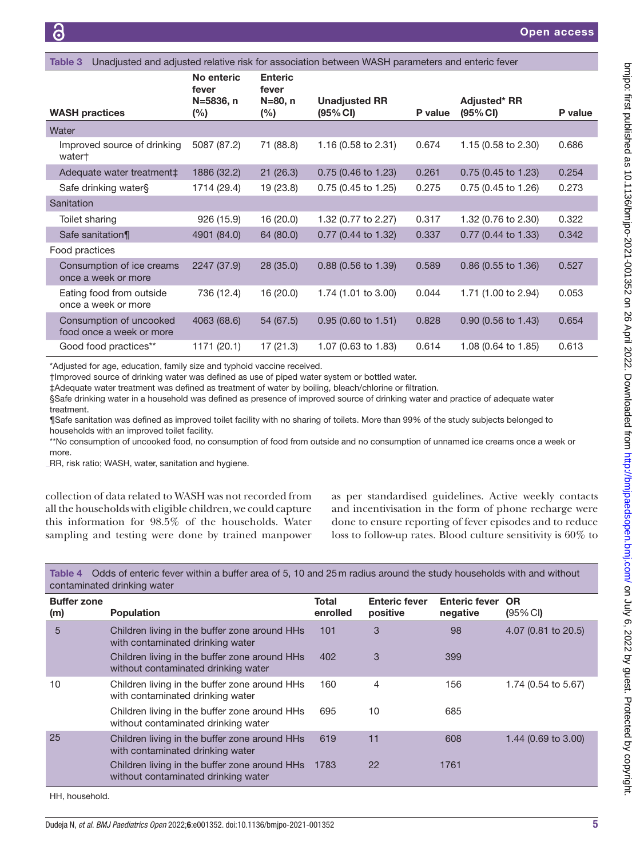<span id="page-4-0"></span>

| Unadjusted and adjusted relative risk for association between WASH parameters and enteric fever<br>Table 3 |                     |                         |                                  |         |                                 |         |
|------------------------------------------------------------------------------------------------------------|---------------------|-------------------------|----------------------------------|---------|---------------------------------|---------|
|                                                                                                            | No enteric<br>fever | <b>Enteric</b><br>fever |                                  |         |                                 |         |
| <b>WASH practices</b>                                                                                      | N=5836, n<br>$(\%)$ | N=80, n<br>(%)          | <b>Unadjusted RR</b><br>(95% CI) | P value | <b>Adjusted* RR</b><br>(95% CI) | P value |
| Water                                                                                                      |                     |                         |                                  |         |                                 |         |
| Improved source of drinking<br>water†                                                                      | 5087 (87.2)         | 71 (88.8)               | 1.16 (0.58 to 2.31)              | 0.674   | 1.15 (0.58 to 2.30)             | 0.686   |
| Adequate water treatment‡                                                                                  | 1886 (32.2)         | 21(26.3)                | $0.75$ (0.46 to 1.23)            | 0.261   | $0.75$ (0.45 to 1.23)           | 0.254   |
| Safe drinking water§                                                                                       | 1714 (29.4)         | 19 (23.8)               | 0.75 (0.45 to 1.25)              | 0.275   | 0.75 (0.45 to 1.26)             | 0.273   |
| Sanitation                                                                                                 |                     |                         |                                  |         |                                 |         |
| Toilet sharing                                                                                             | 926 (15.9)          | 16 (20.0)               | 1.32 (0.77 to 2.27)              | 0.317   | 1.32 (0.76 to 2.30)             | 0.322   |
| Safe sanitation¶                                                                                           | 4901 (84.0)         | 64 (80.0)               | 0.77 (0.44 to 1.32)              | 0.337   | 0.77 (0.44 to 1.33)             | 0.342   |
| Food practices                                                                                             |                     |                         |                                  |         |                                 |         |
| Consumption of ice creams<br>once a week or more                                                           | 2247 (37.9)         | 28(35.0)                | 0.88 (0.56 to 1.39)              | 0.589   | $0.86$ (0.55 to 1.36)           | 0.527   |
| Eating food from outside<br>once a week or more                                                            | 736 (12.4)          | 16 (20.0)               | 1.74 (1.01 to 3.00)              | 0.044   | 1.71 (1.00 to 2.94)             | 0.053   |
| Consumption of uncooked<br>food once a week or more                                                        | 4063 (68.6)         | 54 (67.5)               | $0.95$ (0.60 to 1.51)            | 0.828   | 0.90 (0.56 to 1.43)             | 0.654   |
| Good food practices**                                                                                      | 1171 (20.1)         | 17(21.3)                | 1.07 (0.63 to 1.83)              | 0.614   | 1.08 (0.64 to 1.85)             | 0.613   |
|                                                                                                            |                     |                         |                                  |         |                                 |         |

\*Adjusted for age, education, family size and typhoid vaccine received.

†Improved source of drinking water was defined as use of piped water system or bottled water.

‡Adequate water treatment was defined as treatment of water by boiling, bleach/chlorine or filtration.

§Safe drinking water in a household was defined as presence of improved source of drinking water and practice of adequate water treatment.

¶Safe sanitation was defined as improved toilet facility with no sharing of toilets. More than 99% of the study subjects belonged to households with an improved toilet facility.

\*\*No consumption of uncooked food, no consumption of food from outside and no consumption of unnamed ice creams once a week or more.

RR, risk ratio; WASH, water, sanitation and hygiene.

collection of data related to WASH was not recorded from all the households with eligible children, we could capture this information for 98.5% of the households. Water sampling and testing were done by trained manpower

as per standardised guidelines. Active weekly contacts and incentivisation in the form of phone recharge were done to ensure reporting of fever episodes and to reduce loss to follow-up rates. Blood culture sensitivity is 60% to

<span id="page-4-1"></span>Table 4 Odds of enteric fever within a buffer area of 5, 10 and 25m radius around the study households with and without contaminated drinking water

| <b>Buffer zone</b><br>(m) | <b>Population</b>                                                                    | <b>Total</b><br>enrolled | <b>Enteric fever</b><br>positive | <b>Enteric fever</b><br>negative | <b>OR</b><br>$(95% \,$ CI) |
|---------------------------|--------------------------------------------------------------------------------------|--------------------------|----------------------------------|----------------------------------|----------------------------|
| 5                         | Children living in the buffer zone around HHs<br>with contaminated drinking water    | 101                      | 3                                | 98                               | 4.07 (0.81 to 20.5)        |
|                           | Children living in the buffer zone around HHs<br>without contaminated drinking water | 402                      | 3                                | 399                              |                            |
| 10                        | Children living in the buffer zone around HHs<br>with contaminated drinking water    | 160                      | 4                                | 156                              | 1.74 (0.54 to 5.67)        |
|                           | Children living in the buffer zone around HHs<br>without contaminated drinking water | 695                      | 10                               | 685                              |                            |
| 25                        | Children living in the buffer zone around HHs<br>with contaminated drinking water    | 619                      | 11                               | 608                              | 1.44 (0.69 to 3.00)        |
|                           | Children living in the buffer zone around HHs<br>without contaminated drinking water | -1783                    | 22                               | 1761                             |                            |

HH, household.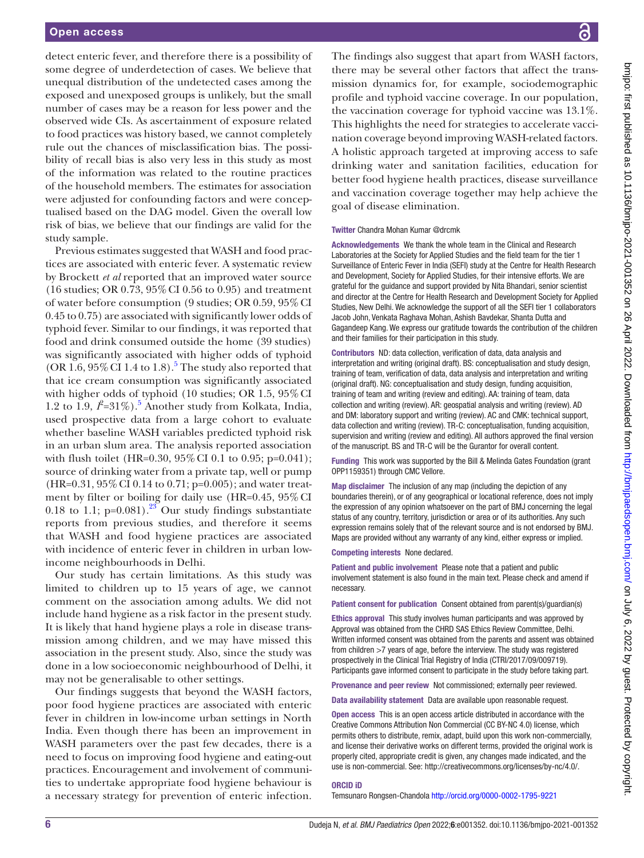detect enteric fever, and therefore there is a possibility of some degree of underdetection of cases. We believe that unequal distribution of the undetected cases among the exposed and unexposed groups is unlikely, but the small number of cases may be a reason for less power and the observed wide CIs. As ascertainment of exposure related to food practices was history based, we cannot completely rule out the chances of misclassification bias. The possibility of recall bias is also very less in this study as most of the information was related to the routine practices of the household members. The estimates for association were adjusted for confounding factors and were conceptualised based on the DAG model. Given the overall low risk of bias, we believe that our findings are valid for the study sample.

Previous estimates suggested that WASH and food practices are associated with enteric fever. A systematic review by Brockett *et al* reported that an improved water source (16 studies; OR 0.73, 95%CI 0.56 to 0.95) and treatment of water before consumption (9 studies; OR 0.59, 95%CI 0.45 to 0.75) are associated with significantly lower odds of typhoid fever. Similar to our findings, it was reported that food and drink consumed outside the home (39 studies) was significantly associated with higher odds of typhoid (OR  $1.6$ ,  $95\%$  $95\%$  $95\%$  CI 1.4 to 1.8).<sup>5</sup> The study also reported that that ice cream consumption was significantly associated with higher odds of typhoid (10 studies; OR 1.5, 95% CI 1.2 to 1.9,  $\hat{I} = 31\%$ ).<sup>5</sup> Another study from Kolkata, India, used prospective data from a large cohort to evaluate whether baseline WASH variables predicted typhoid risk in an urban slum area. The analysis reported association with flush toilet (HR=0.30, 95% CI 0.1 to 0.95; p=0.041); source of drinking water from a private tap, well or pump  $(HR=0.31, 95\% \text{ CI } 0.14 \text{ to } 0.71; \text{p=0.005})$ ; and water treatment by filter or boiling for daily use (HR=0.45, 95% CI 0.18 to 1.1;  $p=0.081$ ).<sup>23</sup> Our study findings substantiate reports from previous studies, and therefore it seems that WASH and food hygiene practices are associated with incidence of enteric fever in children in urban lowincome neighbourhoods in Delhi.

Our study has certain limitations. As this study was limited to children up to 15 years of age, we cannot comment on the association among adults. We did not include hand hygiene as a risk factor in the present study. It is likely that hand hygiene plays a role in disease transmission among children, and we may have missed this association in the present study. Also, since the study was done in a low socioeconomic neighbourhood of Delhi, it may not be generalisable to other settings.

Our findings suggests that beyond the WASH factors, poor food hygiene practices are associated with enteric fever in children in low-income urban settings in North India. Even though there has been an improvement in WASH parameters over the past few decades, there is a need to focus on improving food hygiene and eating-out practices. Encouragement and involvement of communities to undertake appropriate food hygiene behaviour is a necessary strategy for prevention of enteric infection.

bmipo: first published as 10.1136/bmipo-2021-001352 on 26 April 2022. Downloaded from http://bmipaedsopen.bmj.com/ on July 6, 2022 by guest. Protected by copyright on July 6, 2022 by guest. Protected by copyright. <http://bmjpaedsopen.bmj.com/> bmjpo: first published as 10.1136/bmjpo-2021-001352 on 26 April 2022. Downloaded from

The findings also suggest that apart from WASH factors, there may be several other factors that affect the transmission dynamics for, for example, sociodemographic profile and typhoid vaccine coverage. In our population, the vaccination coverage for typhoid vaccine was 13.1%. This highlights the need for strategies to accelerate vaccination coverage beyond improving WASH-related factors. A holistic approach targeted at improving access to safe drinking water and sanitation facilities, education for better food hygiene health practices, disease surveillance and vaccination coverage together may help achieve the goal of disease elimination.

#### Twitter Chandra Mohan Kumar [@drcmk](https://twitter.com/drcmk)

Acknowledgements We thank the whole team in the Clinical and Research Laboratories at the Society for Applied Studies and the field team for the tier 1 Surveillance of Enteric Fever in India (SEFI) study at the Centre for Health Research and Development, Society for Applied Studies, for their intensive efforts. We are grateful for the guidance and support provided by Nita Bhandari, senior scientist and director at the Centre for Health Research and Development Society for Applied Studies, New Delhi. We acknowledge the support of all the SEFI tier 1 collaborators Jacob John, Venkata Raghava Mohan, Ashish Bavdekar, Shanta Dutta and Gagandeep Kang. We express our gratitude towards the contribution of the children and their families for their participation in this study.

Contributors ND: data collection, verification of data, data analysis and interpretation and writing (original draft). BS: conceptualisation and study design, training of team, verification of data, data analysis and interpretation and writing (original draft). NG: conceptualisation and study design, funding acquisition, training of team and writing (review and editing). AA: training of team, data collection and writing (review). AR: geospatial analysis and writing (review). AD and DM: laboratory support and writing (review). AC and CMK: technical support, data collection and writing (review). TR-C: conceptualisation, funding acquisition, supervision and writing (review and editing). All authors approved the final version of the manuscript. BS and TR-C will be the Gurantor for overall content.

Funding This work was supported by the Bill & Melinda Gates Foundation (grant OPP1159351) through CMC Vellore.

Map disclaimer The inclusion of any map (including the depiction of any boundaries therein), or of any geographical or locational reference, does not imply the expression of any opinion whatsoever on the part of BMJ concerning the legal status of any country, territory, jurisdiction or area or of its authorities. Any such expression remains solely that of the relevant source and is not endorsed by BMJ. Maps are provided without any warranty of any kind, either express or implied.

Competing interests None declared.

Patient and public involvement Please note that a patient and public involvement statement is also found in the main text. Please check and amend if necessary.

Patient consent for publication Consent obtained from parent(s)/guardian(s)

Ethics approval This study involves human participants and was approved by Approval was obtained from the CHRD SAS Ethics Review Committee, Delhi. Written informed consent was obtained from the parents and assent was obtained from children >7 years of age, before the interview. The study was registered prospectively in the Clinical Trial Registry of India (CTRI/2017/09/009719). Participants gave informed consent to participate in the study before taking part.

Provenance and peer review Not commissioned; externally peer reviewed.

Data availability statement Data are available upon reasonable request.

Open access This is an open access article distributed in accordance with the Creative Commons Attribution Non Commercial (CC BY-NC 4.0) license, which permits others to distribute, remix, adapt, build upon this work non-commercially, and license their derivative works on different terms, provided the original work is properly cited, appropriate credit is given, any changes made indicated, and the use is non-commercial. See:<http://creativecommons.org/licenses/by-nc/4.0/>.

#### ORCID iD

Temsunaro Rongsen-Chandola<http://orcid.org/0000-0002-1795-9221>